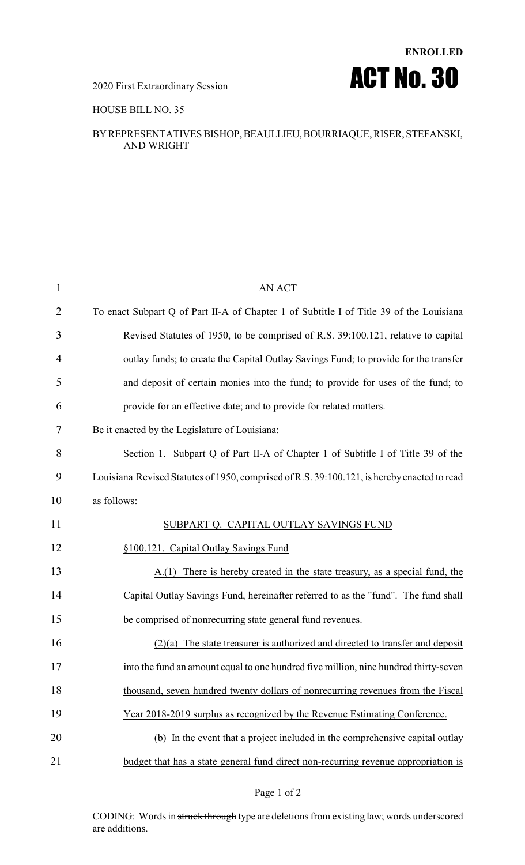# **ENROLLED** 2020 First Extraordinary Session **ACT NO. 30**

#### HOUSE BILL NO. 35

#### BYREPRESENTATIVES BISHOP,BEAULLIEU,BOURRIAQUE,RISER, STEFANSKI, AND WRIGHT

| $\mathbf{1}$   | AN ACT                                                                                      |
|----------------|---------------------------------------------------------------------------------------------|
| $\overline{2}$ | To enact Subpart Q of Part II-A of Chapter 1 of Subtitle I of Title 39 of the Louisiana     |
| 3              | Revised Statutes of 1950, to be comprised of R.S. 39:100.121, relative to capital           |
| 4              | outlay funds; to create the Capital Outlay Savings Fund; to provide for the transfer        |
| 5              | and deposit of certain monies into the fund; to provide for uses of the fund; to            |
| 6              | provide for an effective date; and to provide for related matters.                          |
| 7              | Be it enacted by the Legislature of Louisiana:                                              |
| 8              | Section 1. Subpart Q of Part II-A of Chapter 1 of Subtitle I of Title 39 of the             |
| 9              | Louisiana Revised Statutes of 1950, comprised of R.S. 39:100.121, is hereby enacted to read |
| 10             | as follows:                                                                                 |
| 11             | SUBPART Q. CAPITAL OUTLAY SAVINGS FUND                                                      |
| 12             | §100.121. Capital Outlay Savings Fund                                                       |
| 13             | $A(1)$ There is hereby created in the state treasury, as a special fund, the                |
| 14             | Capital Outlay Savings Fund, hereinafter referred to as the "fund". The fund shall          |
| 15             | be comprised of nonrecurring state general fund revenues.                                   |
| 16             | $(2)(a)$ The state treasurer is authorized and directed to transfer and deposit             |
| 17             | into the fund an amount equal to one hundred five million, nine hundred thirty-seven        |
| 18             | thousand, seven hundred twenty dollars of nonrecurring revenues from the Fiscal             |
| 19             | Year 2018-2019 surplus as recognized by the Revenue Estimating Conference.                  |
| 20             | (b) In the event that a project included in the comprehensive capital outlay                |
| 21             | budget that has a state general fund direct non-recurring revenue appropriation is          |

#### Page 1 of 2

CODING: Words in struck through type are deletions from existing law; words underscored are additions.